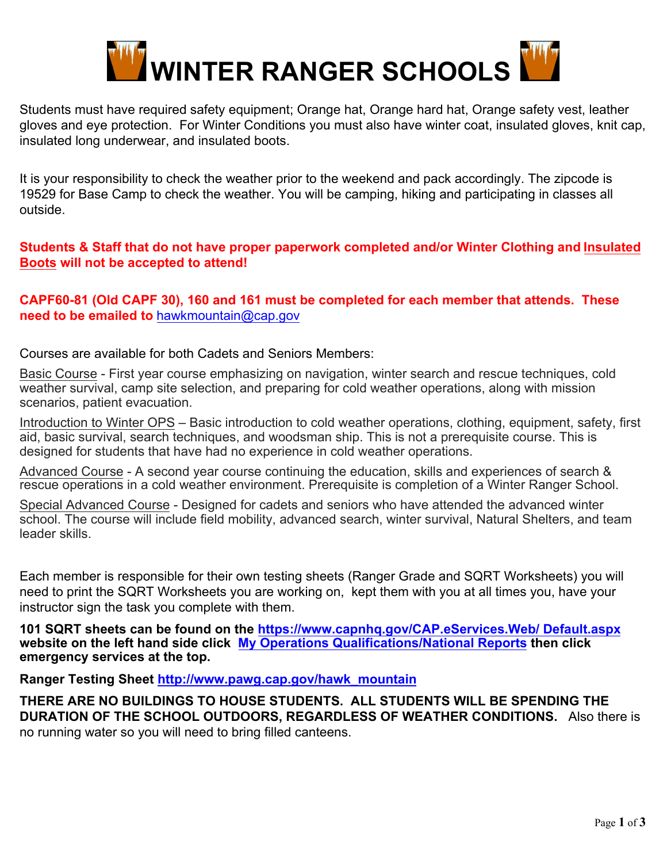

Students must have required safety equipment; Orange hat, Orange hard hat, Orange safety vest, leather gloves and eye protection. For Winter Conditions you must also have winter coat, insulated gloves, knit cap, insulated long underwear, and insulated boots.

It is your responsibility to check the weather prior to the weekend and pack accordingly. The zipcode is 19529 for Base Camp to check the weather. You will be camping, hiking and participating in classes all outside.

## **Students & Staff that do not have proper paperwork completed and/or Winter Clothing and Insulated Boots will not be accepted to attend!**

### **CAPF60-81 (Old CAPF 30), 160 and 161 must be completed for each member that attends. These need to be emailed to** [hawkmountain@cap.gov](mailto:hawkmountain@cap.gov)

Courses are available for both Cadets and Seniors Members:

Basic Course - First year course emphasizing on navigation, winter search and rescue techniques, cold weather survival, camp site selection, and preparing for cold weather operations, along with mission scenarios, patient evacuation.

Introduction to Winter OPS – Basic introduction to cold weather operations, clothing, equipment, safety, first aid, basic survival, search techniques, and woodsman ship. This is not a prerequisite course. This is designed for students that have had no experience in cold weather operations.

Advanced Course - A second year course continuing the education, skills and experiences of search & rescue operations in a cold weather environment. Prerequisite is completion of a Winter Ranger School.

Special Advanced Course - Designed for cadets and seniors who have attended the advanced winter school. The course will include field mobility, advanced search, winter survival, Natural Shelters, and team leader skills.

Each member is responsible for their own testing sheets (Ranger Grade and SQRT Worksheets) you will need to print the SQRT Worksheets you are working on, kept them with you at all times you, have your instructor sign the task you complete with them.

**101 SQRT sheets can be found on the [https://www.capnhq.gov/CAP.eServices.Web/ Default.aspx](https://www.capnhq.gov/CAP.eServices.Web/Default.aspx) website on the left hand side click [My Operations Qualifications/National Reports](https://www.capnhq.gov/CAP.MyOPSQuals.Web/OPSQualsMain.aspx?SID=699BE1EE-929F-4529-A99B-7F564AFC56D9&AC=SELF&AppName=/eServices.aspx) then click emergency services at the top.** 

**Ranger Testing Sheet [http://www.pawg.cap.gov/hawk\\_mountain](http://www.pawg.cap.gov/hawk_mountain)**

**THERE ARE NO BUILDINGS TO HOUSE STUDENTS. ALL STUDENTS WILL BE SPENDING THE DURATION OF THE SCHOOL OUTDOORS, REGARDLESS OF WEATHER CONDITIONS.** Also there is no running water so you will need to bring filled canteens.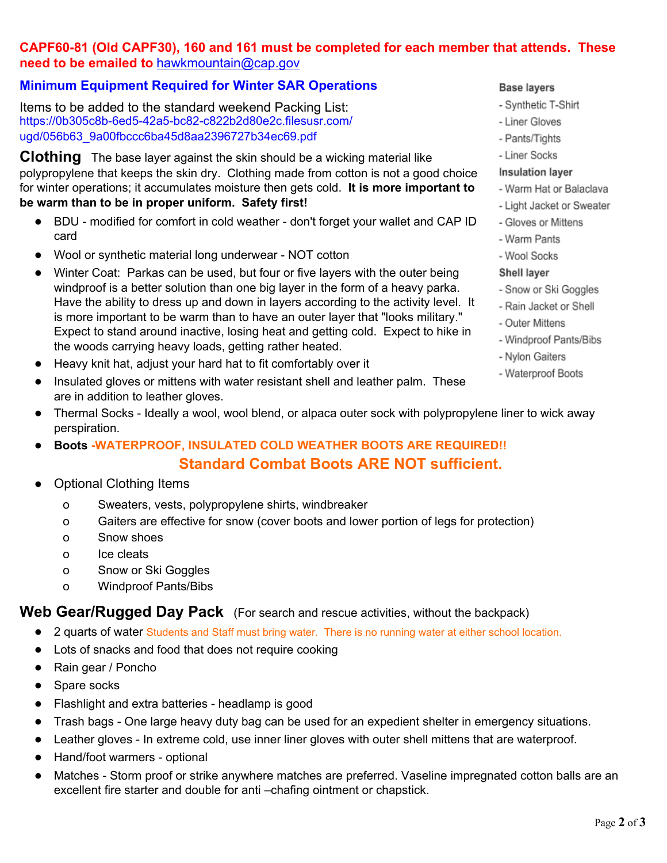# **CAPF60-81 (Old CAPF30), 160 and 161 must be completed for each member that attends. These need to be emailed to** hawkmountain@cap.gov

## **Minimum Equipment Required for Winter SAR Operations**

Items to be added to the standard weekend Packing List: [https://0b305c8b-6ed5-42a5-bc82-c822b2d80e2c.filesusr.com/](https://0b305c8b-6ed5-42a5-bc82-c822b2d80e2c.filesusr.com/ugd/056b63_9a00fbccc6ba45d8aa2396727b34ec69.pdf) ugd/056b63\_9a00fbccc6ba45d8aa2396727b34ec69.pdf

**Clothing** The base layer against the skin should be a wicking material like polypropylene that keeps the skin dry. Clothing made from cotton is not a good choice for winter operations; it accumulates moisture then gets cold. **It is more important to be warm than to be in proper uniform. Safety first!**

- BDU modified for comfort in cold weather don't forget your wallet and CAP ID card
- Wool or synthetic material long underwear NOT cotton
- Winter Coat: Parkas can be used, but four or five layers with the outer being windproof is a better solution than one big layer in the form of a heavy parka. Have the ability to dress up and down in layers according to the activity level. It is more important to be warm than to have an outer layer that "looks military." Expect to stand around inactive, losing heat and getting cold. Expect to hike in the woods carrying heavy loads, getting rather heated.
- Heavy knit hat, adjust your hard hat to fit comfortably over it
- Insulated gloves or mittens with water resistant shell and leather palm. These are in addition to leather gloves.
- Thermal Socks Ideally a wool, wool blend, or alpaca outer sock with polypropylene liner to wick away perspiration.
- **Boots -WATERPROOF, INSULATED COLD WEATHER BOOTS ARE REQUIRED!!**

# **Standard Combat Boots ARE NOT sufficient.**

- Optional Clothing Items
	- o Sweaters, vests, polypropylene shirts, windbreaker
	- o Gaiters are effective for snow (cover boots and lower portion of legs for protection)
	- o Snow shoes
	- o Ice cleats
	- o Snow or Ski Goggles
	- o Windproof Pants/Bibs

## Web Gear/Rugged Day Pack (For search and rescue activities, without the backpack)

- 2 quarts of water Students and Staff must bring water. There is no running water at either school location.
- Lots of snacks and food that does not require cooking
- Rain gear / Poncho
- Spare socks
- Flashlight and extra batteries headlamp is good
- Trash bags One large heavy duty bag can be used for an expedient shelter in emergency situations.
- Leather gloves In extreme cold, use inner liner gloves with outer shell mittens that are waterproof.
- Hand/foot warmers optional
- Matches Storm proof or strike anywhere matches are preferred. Vaseline impregnated cotton balls are an excellent fire starter and double for anti –chafing ointment or chapstick.

#### **Base layers**

- Synthetic T-Shirt
- Liner Gloves
- Pants/Tights
- Liner Socks

#### **Insulation layer**

- Warm Hat or Balaclava
- Light Jacket or Sweater
- Gloves or Mittens
- Warm Pants
- Wool Socks

#### **Shell layer**

- Snow or Ski Goggles
- Rain Jacket or Shell
- Outer Mittens
- Windproof Pants/Bibs
- Nylon Gaiters
- Waterproof Boots